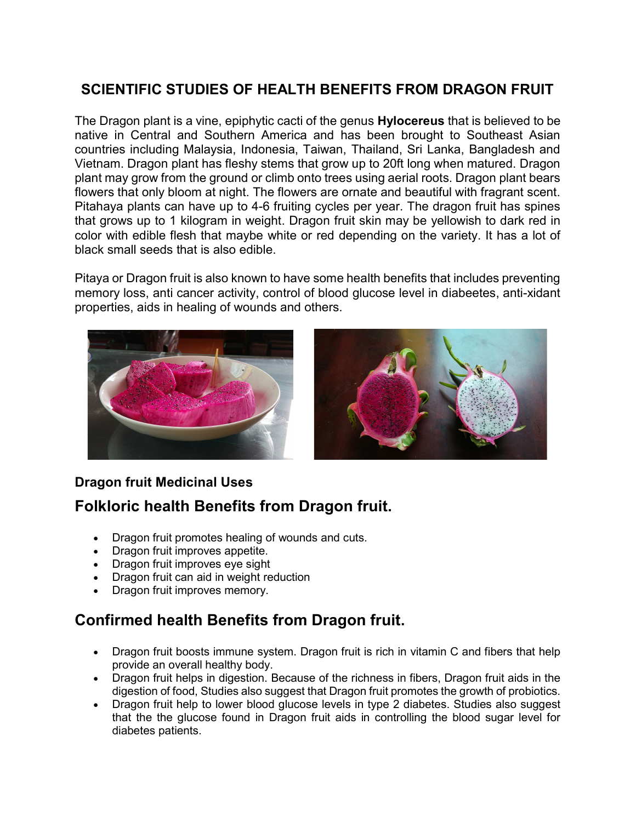#### SCIENTIFIC STUDIES OF HEALTH BENEFITS FROM DRAGON FRUIT

The Dragon plant is a vine, epiphytic cacti of the genus **Hylocereus** that is believed to be native in Central and Southern America and has been brought to Southeast Asian countries including Malaysia, Indonesia, Taiwan, Thailand, Sri Lanka, Bangladesh and Vietnam. Dragon plant has fleshy stems that grow up to 20ft long when matured. Dragon plant may grow from the ground or climb onto trees using aerial roots. Dragon plant bears flowers that only bloom at night. The flowers are ornate and beautiful with fragrant scent. Pitahaya plants can have up to 4-6 fruiting cycles per year. The dragon fruit has spines that grows up to 1 kilogram in weight. Dragon fruit skin may be yellowish to dark red in color with edible flesh that maybe white or red depending on the variety. It has a lot of black small seeds that is also edible.

Pitaya or Dragon fruit is also known to have some health benefits that includes preventing memory loss, anti cancer activity, control of blood glucose level in diabeetes, anti-xidant properties, aids in healing of wounds and others.





#### Dragon fruit Medicinal Uses

### Folkloric health Benefits from Dragon fruit.

- Dragon fruit promotes healing of wounds and cuts.
- Dragon fruit improves appetite.
- Dragon fruit improves eye sight
- Dragon fruit can aid in weight reduction
- Dragon fruit improves memory.

### Confirmed health Benefits from Dragon fruit.

- Dragon fruit boosts immune system. Dragon fruit is rich in vitamin C and fibers that help provide an overall healthy body.
- Dragon fruit helps in digestion. Because of the richness in fibers, Dragon fruit aids in the digestion of food, Studies also suggest that Dragon fruit promotes the growth of probiotics.
- Dragon fruit help to lower blood glucose levels in type 2 diabetes. Studies also suggest that the the glucose found in Dragon fruit aids in controlling the blood sugar level for diabetes patients.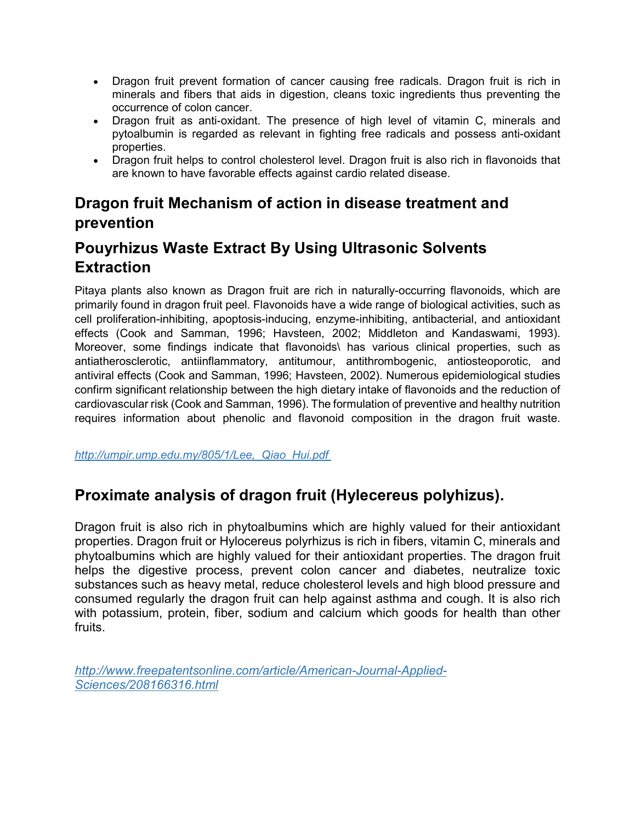- Dragon fruit prevent formation of cancer causing free radicals. Dragon fruit is rich in minerals and fibers that aids in digestion, cleans toxic ingredients thus preventing the occurrence of colon cancer.
- Dragon fruit as anti-oxidant. The presence of high level of vitamin C, minerals and pytoalbumin is regarded as relevant in fighting free radicals and possess anti-oxidant properties.
- Dragon fruit helps to control cholesterol level. Dragon fruit is also rich in flavonoids that are known to have favorable effects against cardio related disease.

## Dragon fruit Mechanism of action in disease treatment and prevention

# Pouyrhizus Waste Extract By Using Ultrasonic Solvents **Extraction**

Pitaya plants also known as Dragon fruit are rich in naturally-occurring flavonoids, which are primarily found in dragon fruit peel. Flavonoids have a wide range of biological activities, such as cell proliferation-inhibiting, apoptosis-inducing, enzyme-inhibiting, antibacterial, and antioxidant effects (Cook and Samman, 1996; Havsteen, 2002; Middleton and Kandaswami, 1993). Moreover, some findings indicate that flavonoids\ has various clinical properties, such as antiatherosclerotic, antiinflammatory, antitumour, antithrombogenic, antiosteoporotic, and antiviral effects (Cook and Samman, 1996; Havsteen, 2002). Numerous epidemiological studies confirm significant relationship between the high dietary intake of flavonoids and the reduction of cardiovascular risk (Cook and Samman, 1996). The formulation of preventive and healthy nutrition requires information about phenolic and flavonoid composition in the dragon fruit waste.

http://umpir.ump.edu.my/805/1/Lee, Qiao Hui.pdf

### Proximate analysis of dragon fruit (Hylecereus polyhizus).

Dragon fruit is also rich in phytoalbumins which are highly valued for their antioxidant properties. Dragon fruit or Hylocereus polyrhizus is rich in fibers, vitamin C, minerals and phytoalbumins which are highly valued for their antioxidant properties. The dragon fruit helps the digestive process, prevent colon cancer and diabetes, neutralize toxic substances such as heavy metal, reduce cholesterol levels and high blood pressure and consumed regularly the dragon fruit can help against asthma and cough. It is also rich with potassium, protein, fiber, sodium and calcium which goods for health than other fruits.

http://www.freepatentsonline.com/article/American-Journal-Applied-Sciences/208166316.html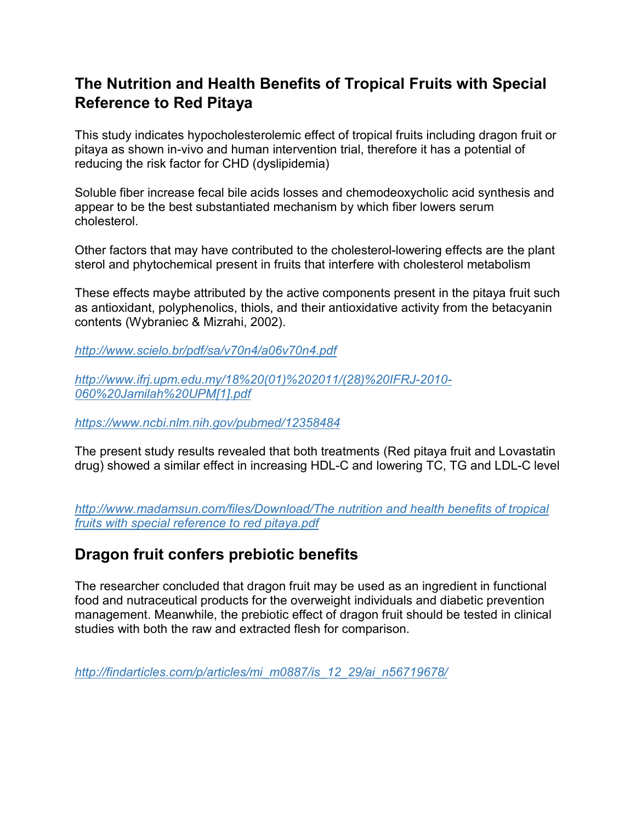### The Nutrition and Health Benefits of Tropical Fruits with Special Reference to Red Pitaya

This study indicates hypocholesterolemic effect of tropical fruits including dragon fruit or pitaya as shown in-vivo and human intervention trial, therefore it has a potential of reducing the risk factor for CHD (dyslipidemia)

Soluble fiber increase fecal bile acids losses and chemodeoxycholic acid synthesis and appear to be the best substantiated mechanism by which fiber lowers serum cholesterol.

Other factors that may have contributed to the cholesterol-lowering effects are the plant sterol and phytochemical present in fruits that interfere with cholesterol metabolism

These effects maybe attributed by the active components present in the pitaya fruit such as antioxidant, polyphenolics, thiols, and their antioxidative activity from the betacyanin contents (Wybraniec & Mizrahi, 2002).

http://www.scielo.br/pdf/sa/v70n4/a06v70n4.pdf

http://www.ifrj.upm.edu.my/18%20(01)%202011/(28)%20IFRJ-2010- 060%20Jamilah%20UPM[1].pdf

https://www.ncbi.nlm.nih.gov/pubmed/12358484

The present study results revealed that both treatments (Red pitaya fruit and Lovastatin drug) showed a similar effect in increasing HDL-C and lowering TC, TG and LDL-C level

http://www.madamsun.com/files/Download/The nutrition and health benefits of tropical fruits with special reference to red pitaya.pdf

### Dragon fruit confers prebiotic benefits

The researcher concluded that dragon fruit may be used as an ingredient in functional food and nutraceutical products for the overweight individuals and diabetic prevention management. Meanwhile, the prebiotic effect of dragon fruit should be tested in clinical studies with both the raw and extracted flesh for comparison.

http://findarticles.com/p/articles/mi\_m0887/is\_12\_29/ai\_n56719678/